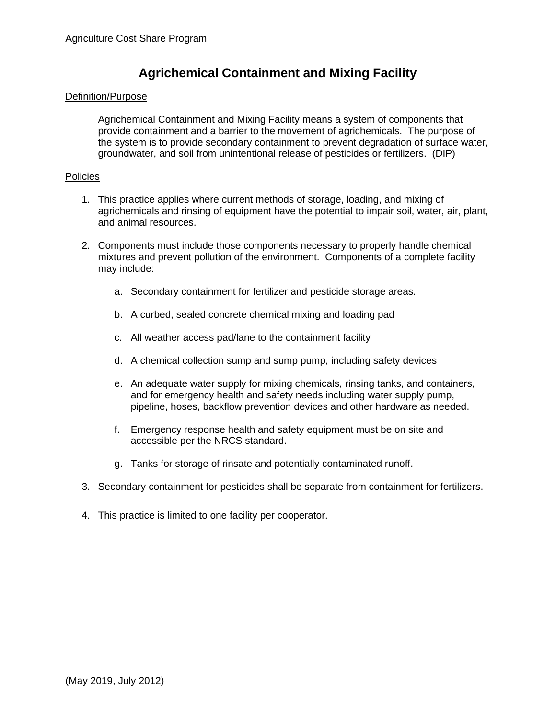## **Agrichemical Containment and Mixing Facility**

## Definition/Purpose

Agrichemical Containment and Mixing Facility means a system of components that provide containment and a barrier to the movement of agrichemicals. The purpose of the system is to provide secondary containment to prevent degradation of surface water, groundwater, and soil from unintentional release of pesticides or fertilizers. (DIP)

## Policies

- 1. This practice applies where current methods of storage, loading, and mixing of agrichemicals and rinsing of equipment have the potential to impair soil, water, air, plant, and animal resources.
- 2. Components must include those components necessary to properly handle chemical mixtures and prevent pollution of the environment. Components of a complete facility may include:
	- a. Secondary containment for fertilizer and pesticide storage areas.
	- b. A curbed, sealed concrete chemical mixing and loading pad
	- c. All weather access pad/lane to the containment facility
	- d. A chemical collection sump and sump pump, including safety devices
	- e. An adequate water supply for mixing chemicals, rinsing tanks, and containers, and for emergency health and safety needs including water supply pump, pipeline, hoses, backflow prevention devices and other hardware as needed.
	- f. Emergency response health and safety equipment must be on site and accessible per the NRCS standard.
	- g. Tanks for storage of rinsate and potentially contaminated runoff.
- 3. Secondary containment for pesticides shall be separate from containment for fertilizers.
- 4. This practice is limited to one facility per cooperator.